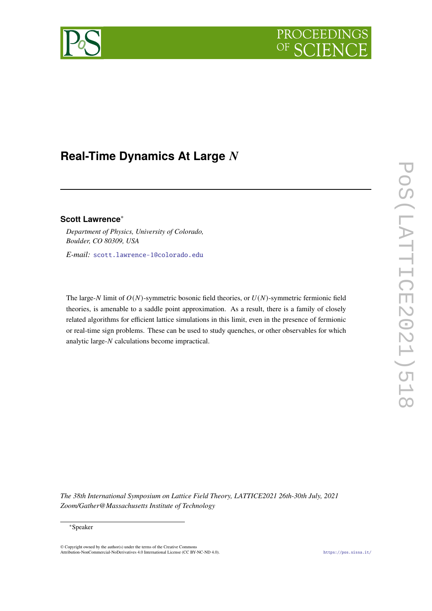

# **Real-Time Dynamics At Large**

# **Scott Lawrence**<sup>∗</sup>

*Department of Physics, University of Colorado, Boulder, CO 80309, USA*

*E-mail:* [scott.lawrence-1@colorado.edu](mailto:scott.lawrence-1@colorado.edu)

The large-N limit of  $O(N)$ -symmetric bosonic field theories, or  $U(N)$ -symmetric fermionic field theories, is amenable to a saddle point approximation. As a result, there is a family of closely related algorithms for efficient lattice simulations in this limit, even in the presence of fermionic or real-time sign problems. These can be used to study quenches, or other observables for which analytic large- $N$  calculations become impractical.

*The 38th International Symposium on Lattice Field Theory, LATTICE2021 26th-30th July, 2021 Zoom/Gather@Massachusetts Institute of Technology*

© Copyright owned by the author(s) under the terms of the Creative Commons Attribution-NonCommercial-NoDerivatives 4.0 International License (CC BY-NC-ND 4.0). <https://pos.sissa.it/>

<sup>∗</sup>Speaker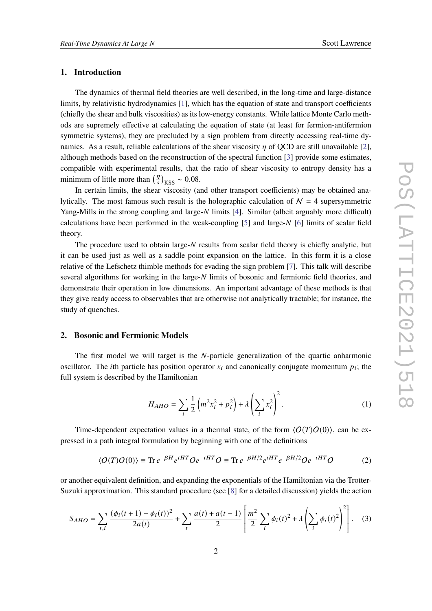#### **1. Introduction**

The dynamics of thermal field theories are well described, in the long-time and large-distance limits, by relativistic hydrodynamics [\[1\]](#page-7-0), which has the equation of state and transport coefficients (chiefly the shear and bulk viscosities) as its low-energy constants. While lattice Monte Carlo methods are supremely effective at calculating the equation of state (at least for fermion-antifermion symmetric systems), they are precluded by a sign problem from directly accessing real-time dynamics. As a result, reliable calculations of the shear viscosity  $\eta$  of QCD are still unavailable [\[2\]](#page-7-1), although methods based on the reconstruction of the spectral function [\[3\]](#page-7-2) provide some estimates, compatible with experimental results, that the ratio of shear viscosity to entropy density has a minimum of little more than  $\left(\frac{\eta}{s}\right)_{\text{KSS}} \sim 0.08$ .

In certain limits, the shear viscosity (and other transport coefficients) may be obtained analytically. The most famous such result is the holographic calculation of  $N = 4$  supersymmetric Yang-Mills in the strong coupling and large- $N$  limits [\[4\]](#page-7-3). Similar (albeit arguably more difficult) calculations have been performed in the weak-coupling  $[5]$  and large-N  $[6]$  limits of scalar field theory.

The procedure used to obtain large- $N$  results from scalar field theory is chiefly analytic, but it can be used just as well as a saddle point expansion on the lattice. In this form it is a close relative of the Lefschetz thimble methods for evading the sign problem [\[7\]](#page-7-6). This talk will describe several algorithms for working in the large- $N$  limits of bosonic and fermionic field theories, and demonstrate their operation in low dimensions. An important advantage of these methods is that they give ready access to observables that are otherwise not analytically tractable; for instance, the study of quenches.

#### **2. Bosonic and Fermionic Models**

The first model we will target is the  $N$ -particle generalization of the quartic anharmonic oscillator. The *i*th particle has position operator  $x_i$  and canonically conjugate momentum  $p_i$ ; the full system is described by the Hamiltonian

<span id="page-1-1"></span>
$$
H_{AHO} = \sum_{i} \frac{1}{2} \left( m^2 x_i^2 + p_i^2 \right) + \lambda \left( \sum_{i} x_i^2 \right)^2.
$$
 (1)

Time-dependent expectation values in a thermal state, of the form  $\langle O(T)O(0)\rangle$ , can be expressed in a path integral formulation by beginning with one of the definitions

<span id="page-1-0"></span>
$$
\langle O(T)O(0)\rangle \equiv \text{Tr} \, e^{-\beta H} e^{iHT} O e^{-iHT} O \equiv \text{Tr} \, e^{-\beta H/2} e^{iHT} e^{-\beta H/2} O e^{-iHT} O \tag{2}
$$

or another equivalent definition, and expanding the exponentials of the Hamiltonian via the Trotter-Suzuki approximation. This standard procedure (see [\[8\]](#page-7-7) for a detailed discussion) yields the action

$$
S_{AHO} = \sum_{t,i} \frac{(\phi_i(t+1) - \phi_i(t))^2}{2a(t)} + \sum_t \frac{a(t) + a(t-1)}{2} \left[ \frac{m^2}{2} \sum_i \phi_i(t)^2 + \lambda \left( \sum_i \phi_i(t)^2 \right)^2 \right].
$$
 (3)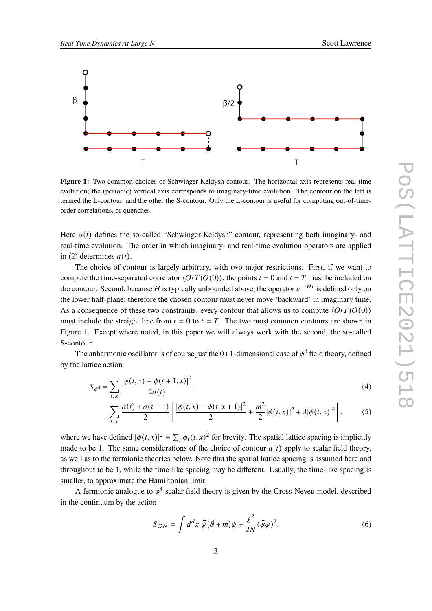<span id="page-2-0"></span>

**Figure 1:** Two common choices of Schwinger-Keldysh contour. The horizontal axis represents real-time evolution; the (periodic) vertical axis corresponds to imaginary-time evolution. The contour on the left is termed the L-contour, and the other the S-contour. Only the L-contour is useful for computing out-of-timeorder correlations, or quenches.

Here  $a(t)$  defines the so-called "Schwinger-Keldysh" contour, representing both imaginary- and real-time evolution. The order in which imaginary- and real-time evolution operators are applied in [\(2\)](#page-1-0) determines  $a(t)$ .

The choice of contour is largely arbitrary, with two major restrictions. First, if we want to compute the time-separated correlator  $\langle O(T)O(0)\rangle$ , the points  $t = 0$  and  $t = T$  must be included on the contour. Second, because H is typically unbounded above, the operator  $e^{-iHt}$  is defined only on the lower half-plane; therefore the chosen contour must never move 'backward' in imaginary time. As a consequence of these two constraints, every contour that allows us to compute  $\langle O(T)O(0)\rangle$ must include the straight line from  $t = 0$  to  $t = T$ . The two most common contours are shown in Figure [1.](#page-2-0) Except where noted, in this paper we will always work with the second, the so-called S-contour.

The anharmonic oscillator is of course just the 0+1-dimensional case of  $\phi^4$  field theory, defined by the lattice action

$$
S_{\phi^4} = \sum_{t,x} \frac{|\phi(t,x) - \phi(t+1,x)|^2}{2a(t)} +
$$
\n(4)

$$
\sum_{t,x} \frac{a(t) + a(t-1)}{2} \left[ \frac{|\phi(t,x) - \phi(t,x+1)|^2}{2} + \frac{m^2}{2} |\phi(t,x)|^2 + \lambda |\phi(t,x)|^4 \right],\tag{5}
$$

where we have defined  $|\phi(t, x)|^2 = \sum_i \phi_i(t, x)^2$  for brevity. The spatial lattice spacing is implicitly made to be 1. The same considerations of the choice of contour  $a(t)$  apply to scalar field theory, as well as to the fermionic theories below. Note that the spatial lattice spacing is assumed here and throughout to be 1, while the time-like spacing may be different. Usually, the time-like spacing is smaller, to approximate the Hamiltonian limit.

A fermionic analogue to  $\phi^4$  scalar field theory is given by the Gross-Neveu model, described in the continuum by the action

$$
S_{GN} = \int d^d x \,\overline{\psi} \, (\overline{\partial} + m)\psi + \frac{g^2}{2N} (\overline{\psi}\psi)^2. \tag{6}
$$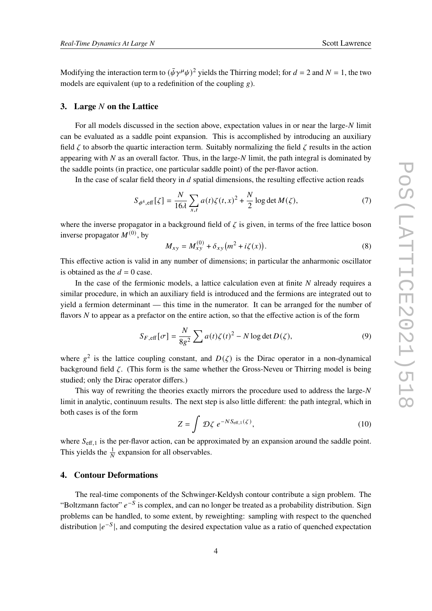Modifying the interaction term to  $(\bar{\psi}\gamma^{\mu}\psi)^2$  yields the Thirring model; for  $d = 2$  and  $N = 1$ , the two models are equivalent (up to a redefinition of the coupling  $g$ ).

## **3.** Large N on the Lattice

For all models discussed in the section above, expectation values in or near the large- $N$  limit can be evaluated as a saddle point expansion. This is accomplished by introducing an auxiliary field  $\zeta$  to absorb the quartic interaction term. Suitably normalizing the field  $\zeta$  results in the action appearing with  $N$  as an overall factor. Thus, in the large- $N$  limit, the path integral is dominated by the saddle points (in practice, one particular saddle point) of the per-flavor action.

In the case of scalar field theory in  $d$  spatial dimensions, the resulting effective action reads

$$
S_{\phi^4, \text{eff}}[\zeta] = \frac{N}{16\lambda} \sum_{x,t} a(t)\zeta(t,x)^2 + \frac{N}{2} \log \det M(\zeta),\tag{7}
$$

where the inverse propagator in a background field of  $\zeta$  is given, in terms of the free lattice boson inverse propagator  $M^{(0)}$ , by

$$
M_{xy} = M_{xy}^{(0)} + \delta_{xy} (m^2 + i\zeta(x)).
$$
\n(8)

This effective action is valid in any number of dimensions; in particular the anharmonic oscillator is obtained as the  $d = 0$  case.

In the case of the fermionic models, a lattice calculation even at finite  $N$  already requires a similar procedure, in which an auxiliary field is introduced and the fermions are integrated out to yield a fermion determinant — this time in the numerator. It can be arranged for the number of flavors  $N$  to appear as a prefactor on the entire action, so that the effective action is of the form

$$
S_{F,\text{eff}}[\sigma] = \frac{N}{8g^2} \sum a(t)\zeta(t)^2 - N\log\det D(\zeta),\tag{9}
$$

where  $g^2$  is the lattice coupling constant, and  $D(\zeta)$  is the Dirac operator in a non-dynamical background field  $\zeta$ . (This form is the same whether the Gross-Neveu or Thirring model is being studied; only the Dirac operator differs.)

This way of rewriting the theories exactly mirrors the procedure used to address the large-N limit in analytic, continuum results. The next step is also little different: the path integral, which in both cases is of the form

<span id="page-3-0"></span>
$$
Z = \int \mathcal{D}\zeta \ e^{-NS_{\text{eff},1}(\zeta)}, \tag{10}
$$

where  $S_{\text{eff,1}}$  is the per-flavor action, can be approximated by an expansion around the saddle point. This yields the  $\frac{1}{N}$  expansion for all observables.

# **4. Contour Deformations**

The real-time components of the Schwinger-Keldysh contour contribute a sign problem. The "Boltzmann factor"  $e^{-S}$  is complex, and can no longer be treated as a probability distribution. Sign problems can be handled, to some extent, by reweighting: sampling with respect to the quenched distribution  $|e^{-S}|$ , and computing the desired expectation value as a ratio of quenched expectation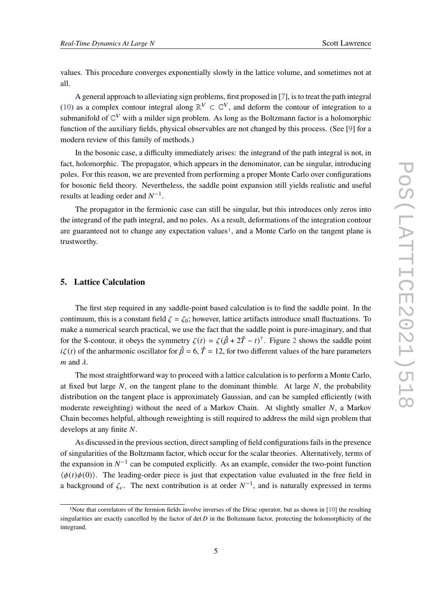values. This procedure converges exponentially slowly in the lattice volume, and sometimes not at all.

A general approach to alleviating sign problems, first proposed in [\[7\]](#page-7-6), is to treat the path integral [\(10\)](#page-3-0) as a complex contour integral along  $\mathbb{R}^V \subset \mathbb{C}^V$ , and deform the contour of integration to a submanifold of  $\mathbb{C}^V$  with a milder sign problem. As long as the Boltzmann factor is a holomorphic function of the auxiliary fields, physical observables are not changed by this process. (See [\[9\]](#page-7-8) for a modern review of this family of methods.)

In the bosonic case, a difficulty immediately arises: the integrand of the path integral is not, in fact, holomorphic. The propagator, which appears in the denominator, can be singular, introducing poles. For this reason, we are prevented from performing a proper Monte Carlo over configurations for bosonic field theory. Nevertheless, the saddle point expansion still yields realistic and useful results at leading order and  $N^{-1}$ .

The propagator in the fermionic case can still be singular, but this introduces only zeros into the integrand of the path integral, and no poles. As a result, deformations of the integration contour are guaranteed not to change any expectation values<sup>[1](#page-4-0)</sup>, and a Monte Carlo on the tangent plane is trustworthy.

# **5. Lattice Calculation**

The first step required in any saddle-point based calculation is to find the saddle point. In the continuum, this is a constant field  $\zeta = \zeta_0$ ; however, lattice artifacts introduce small fluctuations. To make a numerical search practical, we use the fact that the saddle point is pure-imaginary, and that for the S-contour, it obeys the symmetry  $\zeta(t) = \zeta(\hat{\beta} + 2\hat{T} - t)^{\dagger}$  $\zeta(t) = \zeta(\hat{\beta} + 2\hat{T} - t)^{\dagger}$  $\zeta(t) = \zeta(\hat{\beta} + 2\hat{T} - t)^{\dagger}$ . Figure 2 shows the saddle point  $i\zeta(t)$  of the anharmonic oscillator for  $\hat{\beta} = 6$ ,  $\hat{T} = 12$ , for two different values of the bare parameters *m* and  $\lambda$ .

The most straightforward way to proceed with a lattice calculation is to perform a Monte Carlo, at fixed but large N, on the tangent plane to the dominant thimble. At large  $N$ , the probability distribution on the tangent place is approximately Gaussian, and can be sampled efficiently (with moderate reweighting) without the need of a Markov Chain. At slightly smaller  $N$ , a Markov Chain becomes helpful, although reweighting is still required to address the mild sign problem that develops at any finite  $N$ .

As discussed in the previous section, direct sampling of field configurations fails in the presence of singularities of the Boltzmann factor, which occur for the scalar theories. Alternatively, terms of the expansion in  $N^{-1}$  can be computed explicitly. As an example, consider the two-point function  $\langle \phi(t)\phi(0)\rangle$ . The leading-order piece is just that expectation value evaluated in the free field in a background of  $\zeta_c$ . The next contribution is at order  $N^{-1}$ , and is naturally expressed in terms

<span id="page-4-0"></span><sup>1</sup>Note that correlators of the fermion fields involve inverses of the Dirac operator, but as shown in [\[10\]](#page-7-9) the resulting singularities are exactly cancelled by the factor of det  $D$  in the Boltzmann factor, protecting the holomorphicity of the integrand.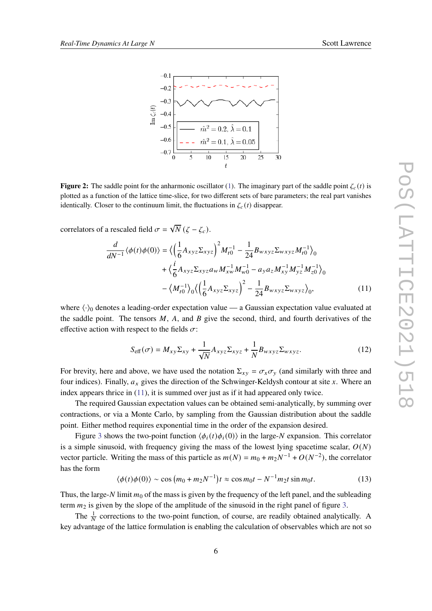<span id="page-5-0"></span>

**Figure 2:** The saddle point for the anharmonic oscillator [\(1\)](#page-1-1). The imaginary part of the saddle point  $\zeta_c(t)$  is plotted as a function of the lattice time-slice, for two different sets of bare parameters; the real part vanishes identically. Closer to the continuum limit, the fluctuations in  $\zeta_c(t)$  disappear.

correlators of a rescaled field  $\sigma = \sqrt{N} (\zeta - \zeta_c)$ .

$$
\frac{d}{dN^{-1}}\langle\phi(t)\phi(0)\rangle = \langle \left(\frac{1}{6}A_{xyz}\Sigma_{xyz}\right)^2 M_{t0}^{-1} - \frac{1}{24}B_{wxyz}\Sigma_{wxyz}M_{t0}^{-1}\rangle_0 \n+ \langle \frac{i}{6}A_{xyz}\Sigma_{xyz}a_wM_{xw}^{-1}M_{w0}^{-1} - a_ya_zM_{xy}^{-1}M_{yz}^{-1}M_{z0}^{-1}\rangle_0 \n- \langle M_{t0}^{-1}\rangle_0 \langle \left(\frac{1}{6}A_{xyz}\Sigma_{xyz}\right)^2 - \frac{1}{24}B_{wxyz}\Sigma_{wxyz}\rangle_0, \tag{11}
$$

where  $\langle \cdot \rangle_0$  denotes a leading-order expectation value — a Gaussian expectation value evaluated at the saddle point. The tensors  $M$ ,  $A$ , and  $B$  give the second, third, and fourth derivatives of the effective action with respect to the fields  $\sigma$ :

<span id="page-5-1"></span>
$$
S_{\text{eff}}(\sigma) = M_{xy} \Sigma_{xy} + \frac{1}{\sqrt{N}} A_{xyz} \Sigma_{xyz} + \frac{1}{N} B_{wxyz} \Sigma_{wxyz}.
$$
 (12)

For brevity, here and above, we have used the notation  $\Sigma_{xy} = \sigma_x \sigma_y$  (and similarly with three and four indices). Finally,  $a_x$  gives the direction of the Schwinger-Keldysh contour at site x. Where an index appears thrice in [\(11\)](#page-5-1), it is summed over just as if it had appeared only twice.

The required Gaussian expectation values can be obtained semi-analytically, by summing over contractions, or via a Monte Carlo, by sampling from the Gaussian distribution about the saddle point. Either method requires exponential time in the order of the expansion desired.

Figure [3](#page-6-0) shows the two-point function  $\langle \phi_i(t) \phi_i(0) \rangle$  in the large-N expansion. This correlator is a simple sinusoid, with frequency giving the mass of the lowest lying spacetime scalar,  $O(N)$ vector particle. Writing the mass of this particle as  $m(N) = m_0 + m_2 N^{-1} + O(N^{-2})$ , the correlator has the form

$$
\langle \phi(t)\phi(0)\rangle \sim \cos\left(m_0 + m_2 N^{-1}\right)t \approx \cos m_0 t - N^{-1} m_2 t \sin m_0 t. \tag{13}
$$

Thus, the large-N limit  $m_0$  of the mass is given by the frequency of the left panel, and the subleading term  $m_2$  is given by the slope of the amplitude of the sinusoid in the right panel of figure [3.](#page-6-0)

The  $\frac{1}{N}$  corrections to the two-point function, of course, are readily obtained analytically. A key advantage of the lattice formulation is enabling the calculation of observables which are not so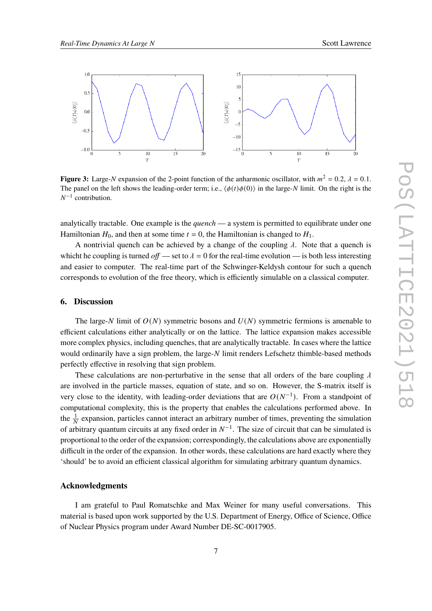<span id="page-6-0"></span>

**Figure 3:** Large-N expansion of the 2-point function of the anharmonic oscillator, with  $m^2 = 0.2$ ,  $\lambda = 0.1$ . The panel on the left shows the leading-order term; i.e.,  $\langle \phi(t) \phi(0) \rangle$  in the large-N limit. On the right is the  $N^{-1}$  contribution.

analytically tractable. One example is the *quench* — a system is permitted to equilibrate under one Hamiltonian  $H_0$ , and then at some time  $t = 0$ , the Hamiltonian is changed to  $H_1$ .

A nontrivial quench can be achieved by a change of the coupling  $\lambda$ . Note that a quench is whicht he coupling is turned *off* — set to  $\lambda = 0$  for the real-time evolution — is both less interesting and easier to computer. The real-time part of the Schwinger-Keldysh contour for such a quench corresponds to evolution of the free theory, which is efficiently simulable on a classical computer.

#### **6. Discussion**

The large-N limit of  $O(N)$  symmetric bosons and  $U(N)$  symmetric fermions is amenable to efficient calculations either analytically or on the lattice. The lattice expansion makes accessible more complex physics, including quenches, that are analytically tractable. In cases where the lattice would ordinarily have a sign problem, the large- $N$  limit renders Lefschetz thimble-based methods perfectly effective in resolving that sign problem.

These calculations are non-perturbative in the sense that all orders of the bare coupling  $\lambda$ are involved in the particle masses, equation of state, and so on. However, the S-matrix itself is very close to the identity, with leading-order deviations that are  $O(N^{-1})$ . From a standpoint of computational complexity, this is the property that enables the calculations performed above. In the  $\frac{1}{N}$  expansion, particles cannot interact an arbitrary number of times, preventing the simulation of arbitrary quantum circuits at any fixed order in  $N^{-1}$ . The size of circuit that can be simulated is proportional to the order of the expansion; correspondingly, the calculations above are exponentially difficult in the order of the expansion. In other words, these calculations are hard exactly where they 'should' be to avoid an efficient classical algorithm for simulating arbitrary quantum dynamics.

#### **Acknowledgments**

I am grateful to Paul Romatschke and Max Weiner for many useful conversations. This material is based upon work supported by the U.S. Department of Energy, Office of Science, Office of Nuclear Physics program under Award Number DE-SC-0017905.